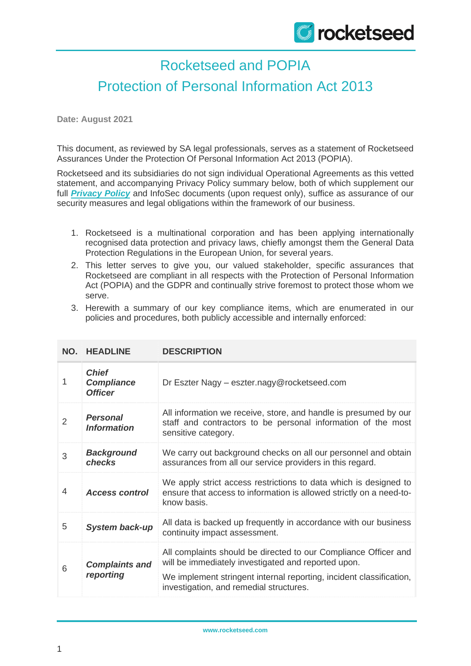# Rocketseed and POPIA Protection of Personal Information Act 2013

**Date: August 2021**

This document, as reviewed by SA legal professionals, serves as a statement of Rocketseed Assurances Under the Protection Of Personal Information Act 2013 (POPIA).

Rocketseed and its subsidiaries do not sign individual Operational Agreements as this vetted statement, and accompanying Privacy Policy summary below, both of which supplement our full *[Privacy Policy](https://www.rocketseed.com/about/privacy/)* and InfoSec documents (upon request only), suffice as assurance of our security measures and legal obligations within the framework of our business.

- 1. Rocketseed is a multinational corporation and has been applying internationally recognised data protection and privacy laws, chiefly amongst them the General Data Protection Regulations in the European Union, for several years.
- 2. This letter serves to give you, our valued stakeholder, specific assurances that Rocketseed are compliant in all respects with the Protection of Personal Information Act (POPIA) and the GDPR and continually strive foremost to protect those whom we serve.
- 3. Herewith a summary of our key compliance items, which are enumerated in our policies and procedures, both publicly accessible and internally enforced:

| 1              | <b>Chief</b><br><b>Compliance</b><br><b>Officer</b> | Dr Eszter Nagy – eszter.nagy@rocketseed.com                                                                                                                                                                                              |
|----------------|-----------------------------------------------------|------------------------------------------------------------------------------------------------------------------------------------------------------------------------------------------------------------------------------------------|
| $\overline{2}$ | <b>Personal</b><br><b>Information</b>               | All information we receive, store, and handle is presumed by our<br>staff and contractors to be personal information of the most<br>sensitive category.                                                                                  |
| 3              | <b>Background</b><br><b>checks</b>                  | We carry out background checks on all our personnel and obtain<br>assurances from all our service providers in this regard.                                                                                                              |
| 4              | <b>Access control</b>                               | We apply strict access restrictions to data which is designed to<br>ensure that access to information is allowed strictly on a need-to-<br>know basis.                                                                                   |
| 5              | <b>System back-up</b>                               | All data is backed up frequently in accordance with our business<br>continuity impact assessment.                                                                                                                                        |
| 6              | <b>Complaints and</b><br>reporting                  | All complaints should be directed to our Compliance Officer and<br>will be immediately investigated and reported upon.<br>We implement stringent internal reporting, incident classification,<br>investigation, and remedial structures. |

#### **NO. HEADLINE DESCRIPTION**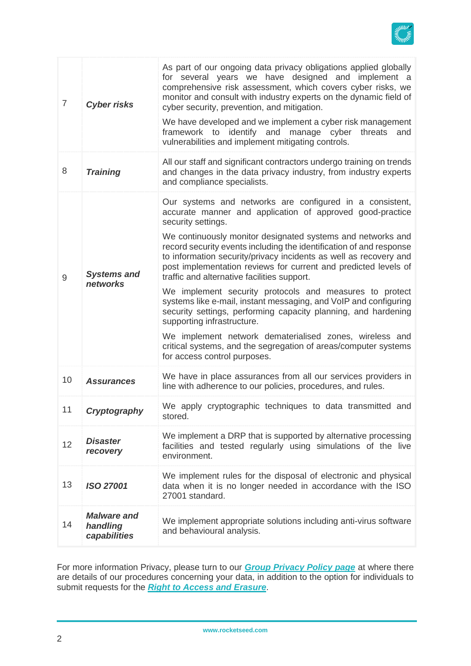

| $\overline{7}$ | <b>Cyber risks</b>                             | As part of our ongoing data privacy obligations applied globally<br>for several years we have designed and implement a<br>comprehensive risk assessment, which covers cyber risks, we<br>monitor and consult with industry experts on the dynamic field of<br>cyber security, prevention, and mitigation.<br>We have developed and we implement a cyber risk management<br>framework to identify and manage cyber threats<br>and<br>vulnerabilities and implement mitigating controls.                                                                                                                                                                                                                                                                                                                                                                                |
|----------------|------------------------------------------------|-----------------------------------------------------------------------------------------------------------------------------------------------------------------------------------------------------------------------------------------------------------------------------------------------------------------------------------------------------------------------------------------------------------------------------------------------------------------------------------------------------------------------------------------------------------------------------------------------------------------------------------------------------------------------------------------------------------------------------------------------------------------------------------------------------------------------------------------------------------------------|
| 8              | <b>Training</b>                                | All our staff and significant contractors undergo training on trends<br>and changes in the data privacy industry, from industry experts<br>and compliance specialists.                                                                                                                                                                                                                                                                                                                                                                                                                                                                                                                                                                                                                                                                                                |
| 9              | <b>Systems and</b><br>networks                 | Our systems and networks are configured in a consistent,<br>accurate manner and application of approved good-practice<br>security settings.<br>We continuously monitor designated systems and networks and<br>record security events including the identification of and response<br>to information security/privacy incidents as well as recovery and<br>post implementation reviews for current and predicted levels of<br>traffic and alternative facilities support.<br>We implement security protocols and measures to protect<br>systems like e-mail, instant messaging, and VoIP and configuring<br>security settings, performing capacity planning, and hardening<br>supporting infrastructure.<br>We implement network dematerialised zones, wireless and<br>critical systems, and the segregation of areas/computer systems<br>for access control purposes. |
| 10             | <b>Assurances</b>                              | We have in place assurances from all our services providers in<br>line with adherence to our policies, procedures, and rules.                                                                                                                                                                                                                                                                                                                                                                                                                                                                                                                                                                                                                                                                                                                                         |
| 11             | <b>Cryptography</b>                            | We apply cryptographic techniques to data transmitted and<br>stored.                                                                                                                                                                                                                                                                                                                                                                                                                                                                                                                                                                                                                                                                                                                                                                                                  |
| 12             | <b>Disaster</b><br>recovery                    | We implement a DRP that is supported by alternative processing<br>facilities and tested regularly using simulations of the live<br>environment.                                                                                                                                                                                                                                                                                                                                                                                                                                                                                                                                                                                                                                                                                                                       |
| 13             | <b>ISO 27001</b>                               | We implement rules for the disposal of electronic and physical<br>data when it is no longer needed in accordance with the ISO<br>27001 standard.                                                                                                                                                                                                                                                                                                                                                                                                                                                                                                                                                                                                                                                                                                                      |
| 14             | <b>Malware and</b><br>handling<br>capabilities | We implement appropriate solutions including anti-virus software<br>and behavioural analysis.                                                                                                                                                                                                                                                                                                                                                                                                                                                                                                                                                                                                                                                                                                                                                                         |

For more information Privacy, please turn to our *[Group Privacy Policy page](https://www.rocketseed.com/about/privacy/)* at where there are details of our procedures concerning your data, in addition to the option for individuals to submit requests for the *[Right to Access and Erasure](https://app.priviq.com/saq/18ffce0d-2718-4e2b-937a-217ddec6a5b4)*.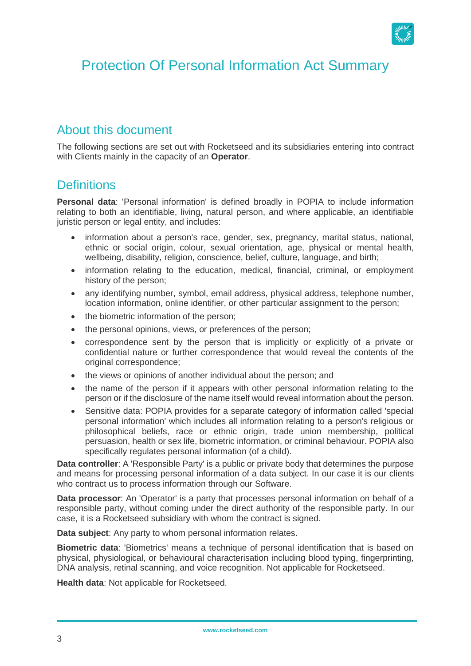

## Protection Of Personal Information Act Summary

### About this document

The following sections are set out with Rocketseed and its subsidiaries entering into contract with Clients mainly in the capacity of an **Operator**.

#### **Definitions**

**Personal data**: 'Personal information' is defined broadly in POPIA to include information relating to both an identifiable, living, natural person, and where applicable, an identifiable juristic person or legal entity, and includes:

- information about a person's race, gender, sex, pregnancy, marital status, national, ethnic or social origin, colour, sexual orientation, age, physical or mental health, wellbeing, disability, religion, conscience, belief, culture, language, and birth;
- information relating to the education, medical, financial, criminal, or employment history of the person;
- any identifying number, symbol, email address, physical address, telephone number, location information, online identifier, or other particular assignment to the person;
- the biometric information of the person;
- the personal opinions, views, or preferences of the person;
- correspondence sent by the person that is implicitly or explicitly of a private or confidential nature or further correspondence that would reveal the contents of the original correspondence;
- the views or opinions of another individual about the person; and
- the name of the person if it appears with other personal information relating to the person or if the disclosure of the name itself would reveal information about the person.
- Sensitive data: POPIA provides for a separate category of information called 'special personal information' which includes all information relating to a person's religious or philosophical beliefs, race or ethnic origin, trade union membership, political persuasion, health or sex life, biometric information, or criminal behaviour. POPIA also specifically regulates personal information (of a child).

**Data controller**: A 'Responsible Party' is a public or private body that determines the purpose and means for processing personal information of a data subject. In our case it is our clients who contract us to process information through our Software.

**Data processor**: An 'Operator' is a party that processes personal information on behalf of a responsible party, without coming under the direct authority of the responsible party. In our case, it is a Rocketseed subsidiary with whom the contract is signed.

**Data subject**: Any party to whom personal information relates.

**Biometric data**: 'Biometrics' means a technique of personal identification that is based on physical, physiological, or behavioural characterisation including blood typing, fingerprinting, DNA analysis, retinal scanning, and voice recognition. Not applicable for Rocketseed.

**Health data**: Not applicable for Rocketseed.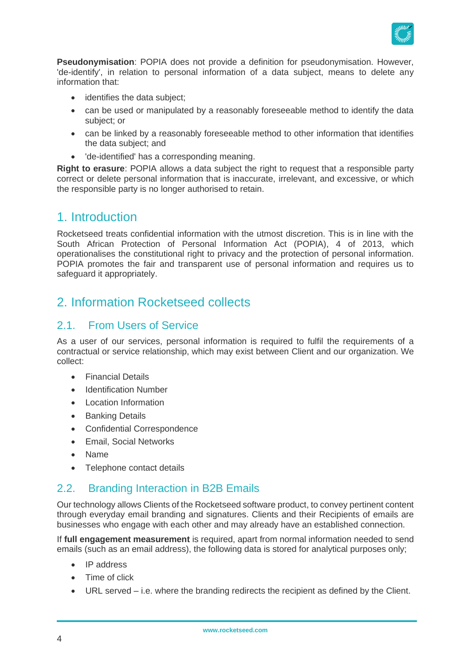

**Pseudonymisation**: POPIA does not provide a definition for pseudonymisation. However, 'de-identify', in relation to personal information of a data subject, means to delete any information that:

- identifies the data subject;
- can be used or manipulated by a reasonably foreseeable method to identify the data subject; or
- can be linked by a reasonably foreseeable method to other information that identifies the data subject; and
- 'de-identified' has a corresponding meaning.

**Right to erasure**: POPIA allows a data subject the right to request that a responsible party correct or delete personal information that is inaccurate, irrelevant, and excessive, or which the responsible party is no longer authorised to retain.

#### 1. Introduction

Rocketseed treats confidential information with the utmost discretion. This is in line with the South African Protection of Personal Information Act (POPIA), 4 of 2013, which operationalises the constitutional right to privacy and the protection of personal information. POPIA promotes the fair and transparent use of personal information and requires us to safeguard it appropriately.

### 2. Information Rocketseed collects

#### 2.1. From Users of Service

As a user of our services, personal information is required to fulfil the requirements of a contractual or service relationship, which may exist between Client and our organization. We collect:

- Financial Details
- Identification Number
- Location Information
- Banking Details
- Confidential Correspondence
- Email, Social Networks
- Name
- Telephone contact details

#### 2.2. Branding Interaction in B2B Emails

Our technology allows Clients of the Rocketseed software product, to convey pertinent content through everyday email branding and signatures. Clients and their Recipients of emails are businesses who engage with each other and may already have an established connection.

If **full engagement measurement** is required, apart from normal information needed to send emails (such as an email address), the following data is stored for analytical purposes only;

- IP address
- Time of click
- URL served i.e. where the branding redirects the recipient as defined by the Client.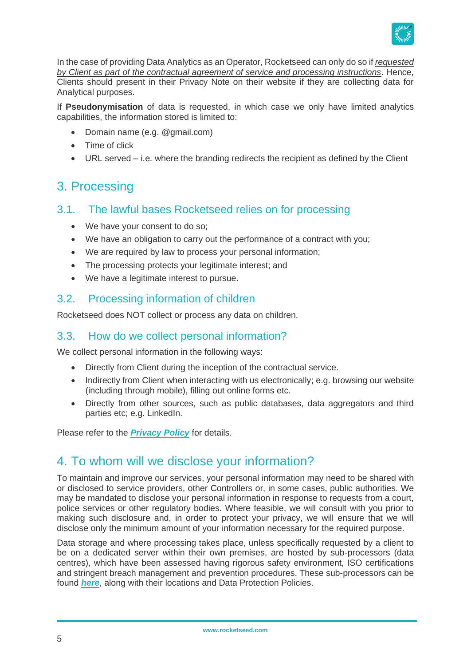

In the case of providing Data Analytics as an Operator, Rocketseed can only do so if *requested by Client as part of the contractual agreement of service and processing instructions*. Hence, Clients should present in their Privacy Note on their website if they are collecting data for Analytical purposes.

If **Pseudonymisation** of data is requested, in which case we only have limited analytics capabilities, the information stored is limited to:

- Domain name (e.g. @gmail.com)
- Time of click
- URL served i.e. where the branding redirects the recipient as defined by the Client

### 3. Processing

#### 3.1. The lawful bases Rocketseed relies on for processing

- We have your consent to do so;
- We have an obligation to carry out the performance of a contract with you;
- We are required by law to process your personal information;
- The processing protects your legitimate interest; and
- We have a legitimate interest to pursue.

#### 3.2. Processing information of children

Rocketseed does NOT collect or process any data on children.

#### 3.3. How do we collect personal information?

We collect personal information in the following ways:

- Directly from Client during the inception of the contractual service.
- Indirectly from Client when interacting with us electronically; e.g. browsing our website (including through mobile), filling out online forms etc.
- Directly from other sources, such as public databases, data aggregators and third parties etc; e.g. LinkedIn.

Please refer to the *[Privacy Policy](https://www.rocketseed.com/about/privacy/)* for details.

#### 4. To whom will we disclose your information?

To maintain and improve our services, your personal information may need to be shared with or disclosed to service providers, other Controllers or, in some cases, public authorities. We may be mandated to disclose your personal information in response to requests from a court, police services or other regulatory bodies. Where feasible, we will consult with you prior to making such disclosure and, in order to protect your privacy, we will ensure that we will disclose only the minimum amount of your information necessary for the required purpose.

Data storage and where processing takes place, unless specifically requested by a client to be on a dedicated server within their own premises, are hosted by sub-processors (data centres), which have been assessed having rigorous safety environment, ISO certifications and stringent breach management and prevention procedures. These sub-processors can be found *[here](https://www.rocketseed.com/about/rocketseed-sub-processors/)*, along with their locations and Data Protection Policies.